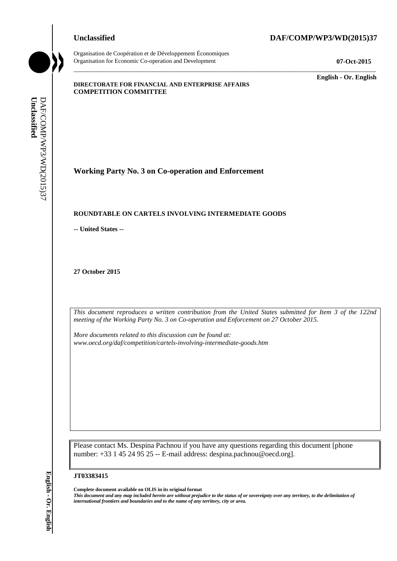Organisation de Coopération et de Développement Économiques Organisation for Economic Co-operation and Development **07-Oct-2015**

## **Unclassified DAF/COMP/WP3/WD(2015)37**

\_\_\_\_\_\_\_\_\_\_\_\_\_ **English - Or. English**

#### **DIRECTORATE FOR FINANCIAL AND ENTERPRISE AFFAIRS COMPETITION COMMITTEE**

**Working Party No. 3 on Co-operation and Enforcement**

#### **ROUNDTABLE ON CARTELS INVOLVING INTERMEDIATE GOODS**

**-- United States --**

**27 October 2015**

*This document reproduces a written contribution from the United States submitted for Item 3 of the 122nd meeting of the Working Party No. 3 on Co-operation and Enforcement on 27 October 2015.* 

\_\_\_\_\_\_\_\_\_\_\_\_\_\_\_\_\_\_\_\_\_\_\_\_\_\_\_\_\_\_\_\_\_\_\_\_\_\_\_\_\_\_\_\_\_\_\_\_\_\_\_\_\_\_\_\_\_\_\_\_\_\_\_\_\_\_\_\_\_\_\_\_\_\_\_\_\_\_\_\_\_\_\_\_\_\_\_\_\_\_\_

*More documents related to this discussion can be found at: www.oecd.org/daf/competition/cartels-involving-intermediate-goods.htm*

Please contact Ms. Despina Pachnou if you have any questions regarding this document [phone number: +33 1 45 24 95 25 -- E-mail address: despina.pachnou@oecd.org].

#### **JT03383415**

**Complete document available on OLIS in its original format** *This document and any map included herein are without prejudice to the status of or sovereignty over any territory, to the delimitation of*  **iii** *international frontiers and boundaries and to the name of any territory, city or area.* **English - Containers and DAF/COMP/WD-2015**<br> **iii English Containers and DAF/COMP/WDS/WD(2015)**<br> **iii This decuments repr**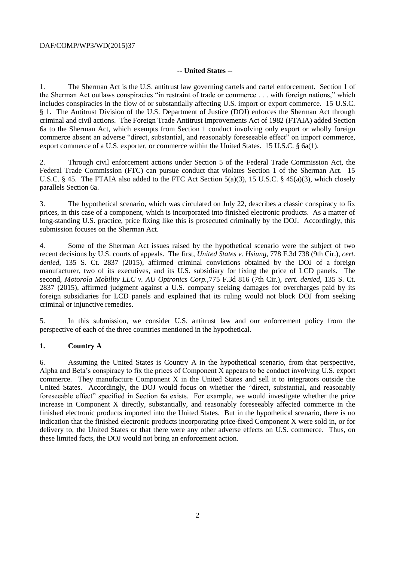## DAF/COMP/WP3/WD(2015)37

## **-- United States --**

1. The Sherman Act is the U.S. antitrust law governing cartels and cartel enforcement. Section 1 of the Sherman Act outlaws conspiracies "in restraint of trade or commerce . . . with foreign nations," which includes conspiracies in the flow of or substantially affecting U.S. import or export commerce. 15 U.S.C. § 1. The Antitrust Division of the U.S. Department of Justice (DOJ) enforces the Sherman Act through criminal and civil actions. The Foreign Trade Antitrust Improvements Act of 1982 (FTAIA) added Section 6a to the Sherman Act, which exempts from Section 1 conduct involving only export or wholly foreign commerce absent an adverse "direct, substantial, and reasonably foreseeable effect" on import commerce, export commerce of a U.S. exporter, or commerce within the United States. 15 U.S.C. § 6a(1).

2. Through civil enforcement actions under Section 5 of the Federal Trade Commission Act, the Federal Trade Commission (FTC) can pursue conduct that violates Section 1 of the Sherman Act. 15 U.S.C. § 45. The FTAIA also added to the FTC Act Section 5(a)(3), 15 U.S.C. § 45(a)(3), which closely parallels Section 6a.

3. The hypothetical scenario, which was circulated on July 22, describes a classic conspiracy to fix prices, in this case of a component, which is incorporated into finished electronic products. As a matter of long-standing U.S. practice, price fixing like this is prosecuted criminally by the DOJ. Accordingly, this submission focuses on the Sherman Act.

4. Some of the Sherman Act issues raised by the hypothetical scenario were the subject of two recent decisions by U.S. courts of appeals. The first, *United States v. Hsiung*, 778 F.3d 738 (9th Cir.), *cert. denied*, 135 S. Ct. 2837 (2015), affirmed criminal convictions obtained by the DOJ of a foreign manufacturer, two of its executives, and its U.S. subsidiary for fixing the price of LCD panels. The second, *Motorola Mobility LLC v. AU Optronics Corp.*,775 F.3d 816 (7th Cir.), *cert. denied*, 135 S. Ct. 2837 (2015), affirmed judgment against a U.S. company seeking damages for overcharges paid by its foreign subsidiaries for LCD panels and explained that its ruling would not block DOJ from seeking criminal or injunctive remedies.

5. In this submission, we consider U.S. antitrust law and our enforcement policy from the perspective of each of the three countries mentioned in the hypothetical.

## **1. Country A**

6. Assuming the United States is Country A in the hypothetical scenario, from that perspective, Alpha and Beta's conspiracy to fix the prices of Component X appears to be conduct involving U.S. export commerce. They manufacture Component X in the United States and sell it to integrators outside the United States. Accordingly, the DOJ would focus on whether the "direct, substantial, and reasonably foreseeable effect" specified in Section 6a exists. For example, we would investigate whether the price increase in Component X directly, substantially, and reasonably foreseeably affected commerce in the finished electronic products imported into the United States. But in the hypothetical scenario, there is no indication that the finished electronic products incorporating price-fixed Component X were sold in, or for delivery to, the United States or that there were any other adverse effects on U.S. commerce. Thus, on these limited facts, the DOJ would not bring an enforcement action.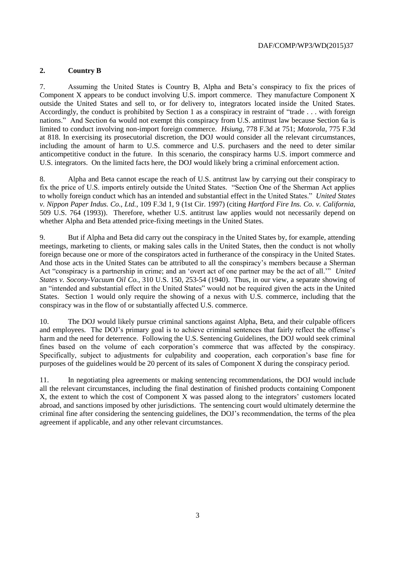# **2. Country B**

7. Assuming the United States is Country B, Alpha and Beta's conspiracy to fix the prices of Component X appears to be conduct involving U.S. import commerce. They manufacture Component X outside the United States and sell to, or for delivery to, integrators located inside the United States. Accordingly, the conduct is prohibited by Section 1 as a conspiracy in restraint of "trade . . . with foreign nations." And Section 6a would not exempt this conspiracy from U.S. antitrust law because Section 6a is limited to conduct involving non-import foreign commerce. *Hsiung*, 778 F.3d at 751; *Motorola*, 775 F.3d at 818. In exercising its prosecutorial discretion, the DOJ would consider all the relevant circumstances, including the amount of harm to U.S. commerce and U.S. purchasers and the need to deter similar anticompetitive conduct in the future. In this scenario, the conspiracy harms U.S. import commerce and U.S. integrators. On the limited facts here, the DOJ would likely bring a criminal enforcement action.

8. Alpha and Beta cannot escape the reach of U.S. antitrust law by carrying out their conspiracy to fix the price of U.S. imports entirely outside the United States. "Section One of the Sherman Act applies to wholly foreign conduct which has an intended and substantial effect in the United States." *United States v. Nippon Paper Indus. Co., Ltd.*, 109 F.3d 1, 9 (1st Cir. 1997) (citing *Hartford Fire Ins. Co. v. California,*  509 U.S. 764 (1993)). Therefore, whether U.S. antitrust law applies would not necessarily depend on whether Alpha and Beta attended price-fixing meetings in the United States.

9. But if Alpha and Beta did carry out the conspiracy in the United States by, for example, attending meetings, marketing to clients, or making sales calls in the United States, then the conduct is not wholly foreign because one or more of the conspirators acted in furtherance of the conspiracy in the United States. And those acts in the United States can be attributed to all the conspiracy's members because a Sherman Act "conspiracy is a partnership in crime; and an 'overt act of one partner may be the act of all.'" *United States v. Socony-Vacuum Oil Co.*, 310 U.S. 150, 253-54 (1940). Thus, in our view, a separate showing of an "intended and substantial effect in the United States" would not be required given the acts in the United States. Section 1 would only require the showing of a nexus with U.S. commerce, including that the conspiracy was in the flow of or substantially affected U.S. commerce.

10. The DOJ would likely pursue criminal sanctions against Alpha, Beta, and their culpable officers and employees. The DOJ's primary goal is to achieve criminal sentences that fairly reflect the offense's harm and the need for deterrence. Following the U.S. Sentencing Guidelines, the DOJ would seek criminal fines based on the volume of each corporation's commerce that was affected by the conspiracy. Specifically, subject to adjustments for culpability and cooperation, each corporation's base fine for purposes of the guidelines would be 20 percent of its sales of Component X during the conspiracy period.

11. In negotiating plea agreements or making sentencing recommendations, the DOJ would include all the relevant circumstances, including the final destination of finished products containing Component X, the extent to which the cost of Component X was passed along to the integrators' customers located abroad, and sanctions imposed by other jurisdictions. The sentencing court would ultimately determine the criminal fine after considering the sentencing guidelines, the DOJ's recommendation, the terms of the plea agreement if applicable, and any other relevant circumstances.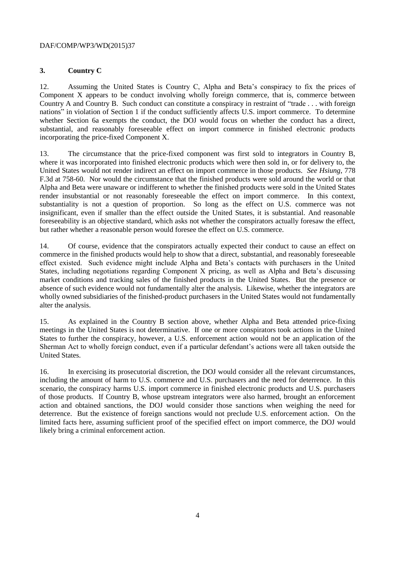## DAF/COMP/WP3/WD(2015)37

# **3. Country C**

12. Assuming the United States is Country C, Alpha and Beta's conspiracy to fix the prices of Component X appears to be conduct involving wholly foreign commerce, that is, commerce between Country A and Country B. Such conduct can constitute a conspiracy in restraint of "trade . . . with foreign nations" in violation of Section 1 if the conduct sufficiently affects U.S. import commerce. To determine whether Section 6a exempts the conduct, the DOJ would focus on whether the conduct has a direct, substantial, and reasonably foreseeable effect on import commerce in finished electronic products incorporating the price-fixed Component X.

13. The circumstance that the price-fixed component was first sold to integrators in Country B, where it was incorporated into finished electronic products which were then sold in, or for delivery to, the United States would not render indirect an effect on import commerce in those products. *See Hsiung*, 778 F.3d at 758-60. Nor would the circumstance that the finished products were sold around the world or that Alpha and Beta were unaware or indifferent to whether the finished products were sold in the United States render insubstantial or not reasonably foreseeable the effect on import commerce. In this context, substantiality is not a question of proportion. So long as the effect on U.S. commerce was not insignificant, even if smaller than the effect outside the United States, it is substantial. And reasonable foreseeability is an objective standard, which asks not whether the conspirators actually foresaw the effect, but rather whether a reasonable person would foresee the effect on U.S. commerce.

14. Of course, evidence that the conspirators actually expected their conduct to cause an effect on commerce in the finished products would help to show that a direct, substantial, and reasonably foreseeable effect existed. Such evidence might include Alpha and Beta's contacts with purchasers in the United States, including negotiations regarding Component X pricing, as well as Alpha and Beta's discussing market conditions and tracking sales of the finished products in the United States. But the presence or absence of such evidence would not fundamentally alter the analysis. Likewise, whether the integrators are wholly owned subsidiaries of the finished-product purchasers in the United States would not fundamentally alter the analysis.

15. As explained in the Country B section above, whether Alpha and Beta attended price-fixing meetings in the United States is not determinative. If one or more conspirators took actions in the United States to further the conspiracy, however, a U.S. enforcement action would not be an application of the Sherman Act to wholly foreign conduct, even if a particular defendant's actions were all taken outside the United States.

16. In exercising its prosecutorial discretion, the DOJ would consider all the relevant circumstances, including the amount of harm to U.S. commerce and U.S. purchasers and the need for deterrence. In this scenario, the conspiracy harms U.S. import commerce in finished electronic products and U.S. purchasers of those products. If Country B, whose upstream integrators were also harmed, brought an enforcement action and obtained sanctions, the DOJ would consider those sanctions when weighing the need for deterrence. But the existence of foreign sanctions would not preclude U.S. enforcement action. On the limited facts here, assuming sufficient proof of the specified effect on import commerce, the DOJ would likely bring a criminal enforcement action.